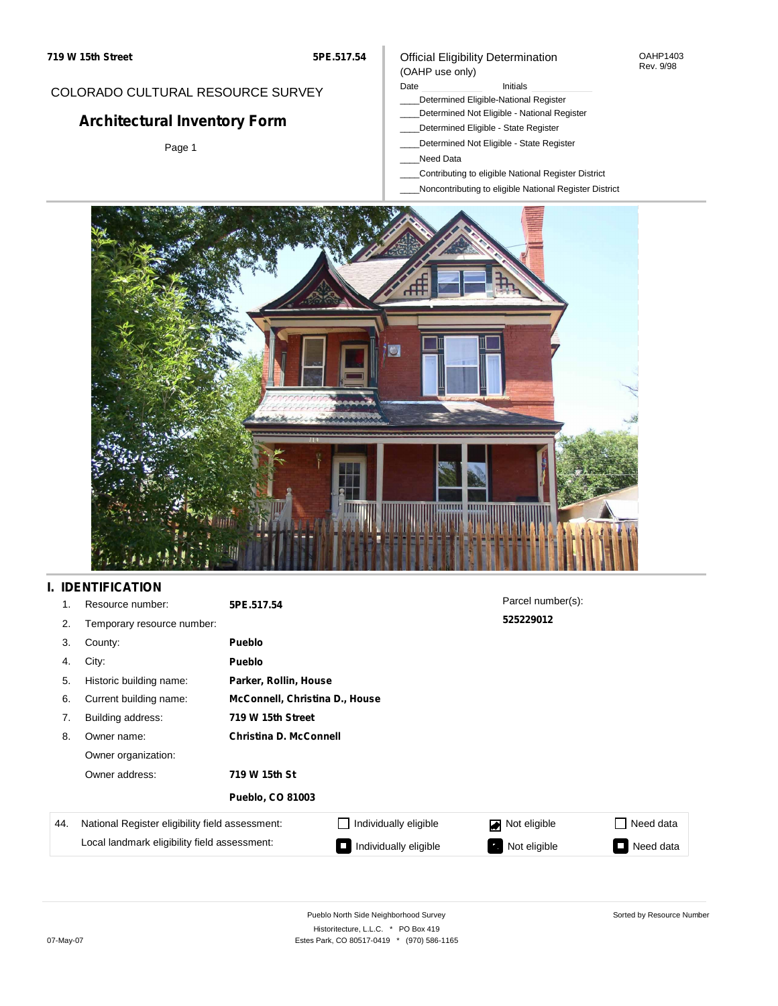#### OAHP1403 Rev. 9/98

## COLORADO CULTURAL RESOURCE SURVEY

# **Architectural Inventory Form**

Page 1

#### (OAHP use only) Date **Initials** Initials

Official Eligibility Determination

- \_\_\_\_Determined Eligible-National Register
- \_\_\_\_Determined Not Eligible National Register
- \_\_\_\_Determined Eligible State Register
- \_\_\_\_Determined Not Eligible State Register
- \_\_\_\_Need Data
- \_\_\_\_Contributing to eligible National Register District
- \_\_\_\_Noncontributing to eligible National Register District



## **I. IDENTIFICATION**

| 1.  | Resource number:                                | 5PE.517.54                    |                                | Parcel number(s):   |           |  |  |
|-----|-------------------------------------------------|-------------------------------|--------------------------------|---------------------|-----------|--|--|
| 2.  | Temporary resource number:                      |                               |                                | 525229012           |           |  |  |
| 3.  | County:                                         | <b>Pueblo</b>                 |                                |                     |           |  |  |
| 4.  | City:                                           | <b>Pueblo</b>                 |                                |                     |           |  |  |
| 5.  | Historic building name:                         |                               | Parker, Rollin, House          |                     |           |  |  |
| 6.  | Current building name:                          |                               | McConnell, Christina D., House |                     |           |  |  |
| 7.  | Building address:                               | 719 W 15th Street             |                                |                     |           |  |  |
| 8.  | Owner name:                                     | <b>Christina D. McConnell</b> |                                |                     |           |  |  |
|     | Owner organization:                             |                               |                                |                     |           |  |  |
|     | Owner address:                                  | 719 W 15th St                 |                                |                     |           |  |  |
|     |                                                 | <b>Pueblo, CO 81003</b>       |                                |                     |           |  |  |
| 44. | National Register eligibility field assessment: |                               | Individually eligible          | Not eligible<br>اھا | Need data |  |  |
|     | Local landmark eligibility field assessment:    |                               | Individually eligible          | Not eligible        | Need data |  |  |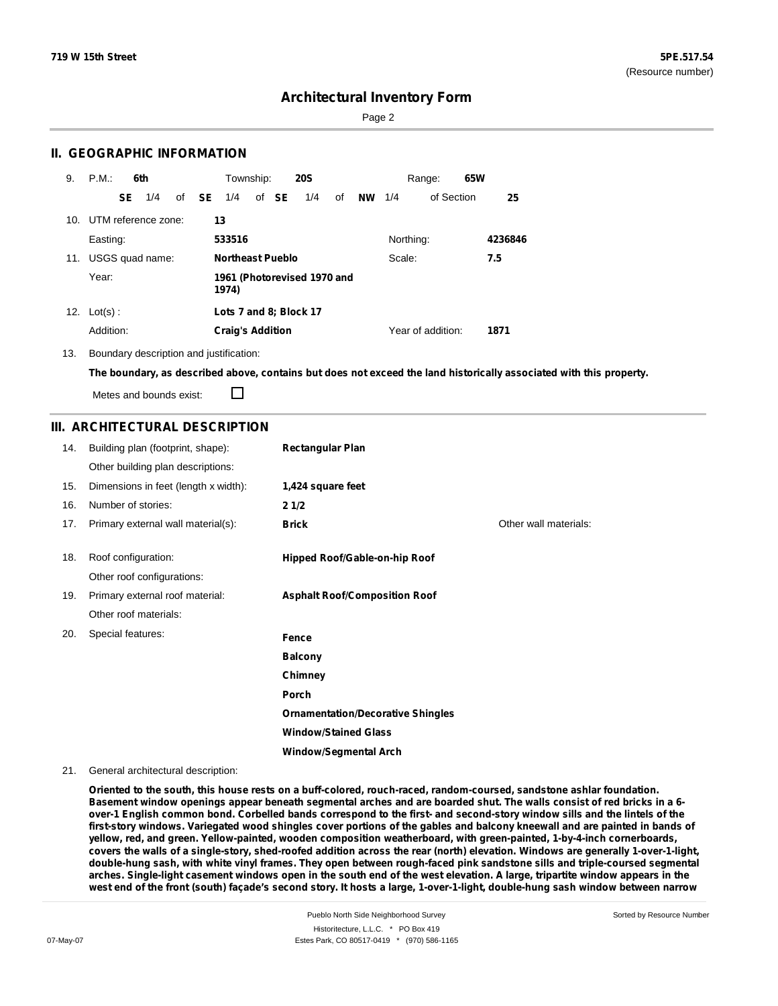Page 2

### **II. GEOGRAPHIC INFORMATION**

| 9.  | P.M.                    |     | 6th             |              | Township:                            |  |       | <b>20S</b>             |    |           |           | Range:            | 65W |         |
|-----|-------------------------|-----|-----------------|--------------|--------------------------------------|--|-------|------------------------|----|-----------|-----------|-------------------|-----|---------|
|     |                         | SE. | 1/4             | of <b>SE</b> | 1/4                                  |  | of SE | 1/4                    | of | <b>NW</b> | 1/4       | of Section        |     | 25      |
|     | 10. UTM reference zone: |     |                 | 13           |                                      |  |       |                        |    |           |           |                   |     |         |
|     | Easting:                |     |                 |              | 533516                               |  |       |                        |    |           | Northing: |                   |     | 4236846 |
| 11. |                         |     | USGS quad name: |              | <b>Northeast Pueblo</b>              |  |       |                        |    |           | Scale:    |                   |     | 7.5     |
|     | Year:                   |     |                 |              | 1961 (Photorevised 1970 and<br>1974) |  |       |                        |    |           |           |                   |     |         |
| 12. | $Lot(s)$ :              |     |                 |              |                                      |  |       | Lots 7 and 8; Block 17 |    |           |           |                   |     |         |
|     | Addition:               |     |                 |              | <b>Craig's Addition</b>              |  |       |                        |    |           |           | Year of addition: |     | 1871    |

13. Boundary description and justification:

The boundary, as described above, contains but does not exceed the land historically associated with this property.

Metes and bounds exist:

П

### **III. ARCHITECTURAL DESCRIPTION**

| 14. | Building plan (footprint, shape):    | <b>Rectangular Plan</b>                  |                       |
|-----|--------------------------------------|------------------------------------------|-----------------------|
|     | Other building plan descriptions:    |                                          |                       |
| 15. | Dimensions in feet (length x width): | 1,424 square feet                        |                       |
| 16. | Number of stories:                   | 21/2                                     |                       |
| 17. | Primary external wall material(s):   | <b>Brick</b>                             | Other wall materials: |
| 18. | Roof configuration:                  | Hipped Roof/Gable-on-hip Roof            |                       |
|     | Other roof configurations:           |                                          |                       |
| 19. | Primary external roof material:      | <b>Asphalt Roof/Composition Roof</b>     |                       |
|     | Other roof materials:                |                                          |                       |
| 20. | Special features:                    | Fence                                    |                       |
|     |                                      | <b>Balcony</b>                           |                       |
|     |                                      | Chimney                                  |                       |
|     |                                      | Porch                                    |                       |
|     |                                      | <b>Ornamentation/Decorative Shingles</b> |                       |
|     |                                      | <b>Window/Stained Glass</b>              |                       |
|     |                                      | <b>Window/Segmental Arch</b>             |                       |

#### 21. General architectural description:

**Oriented to the south, this house rests on a buff-colored, rouch-raced, random-coursed, sandstone ashlar foundation.** Basement window openings appear beneath segmental arches and are boarded shut. The walls consist of red bricks in a 6over-1 English common bond. Corbelled bands correspond to the first- and second-story window sills and the lintels of the first-story windows. Variegated wood shingles cover portions of the gables and balcony kneewall and are painted in bands of **yellow, red, and green. Yellow-painted, wooden composition weatherboard, with green-painted, 1-by-4-inch cornerboards,** covers the walls of a single-story, shed-roofed addition across the rear (north) elevation. Windows are generally 1-over-1-light, double-hung sash, with white vinyl frames. They open between rough-faced pink sandstone sills and triple-coursed segmental arches. Single-light casement windows open in the south end of the west elevation. A large, tripartite window appears in the west end of the front (south) façade's second story. It hosts a large, 1-over-1-light, double-hung sash window between narrow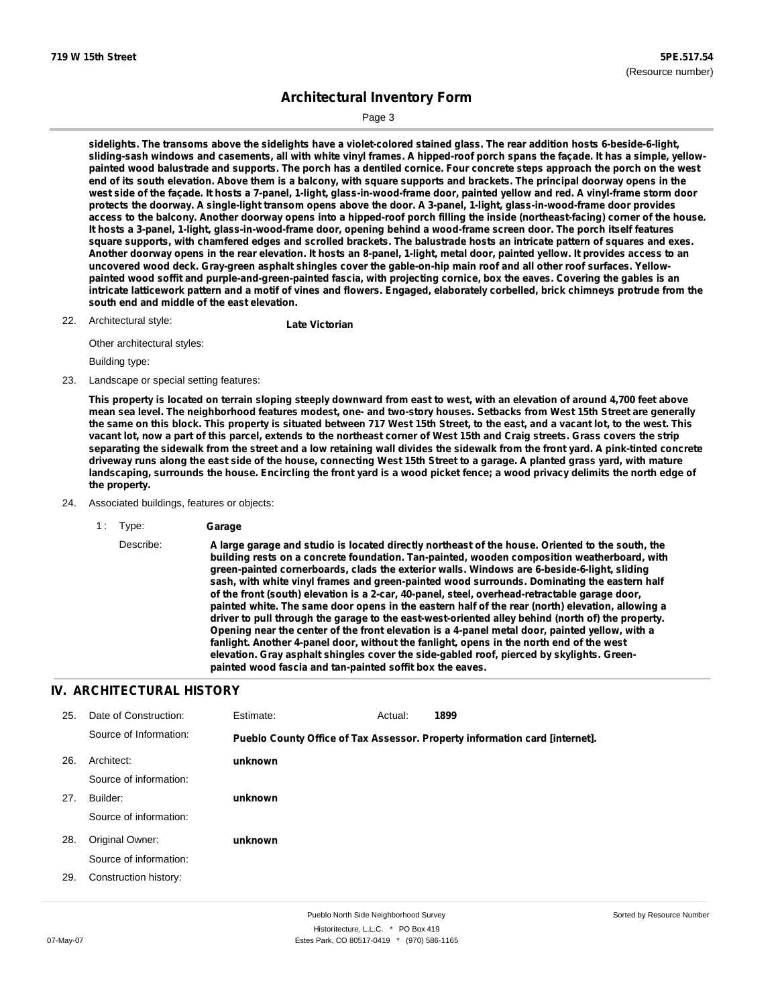Page 3

sidelights. The transoms above the sidelights have a violet-colored stained glass. The rear addition hosts 6-beside-6-light, sliding-sash windows and casements, all with white vinyl frames. A hipped-roof porch spans the façade. It has a simple, yellowpainted wood balustrade and supports. The porch has a dentiled cornice. Four concrete steps approach the porch on the west end of its south elevation. Above them is a balcony, with square supports and brackets. The principal doorway opens in the west side of the façade. It hosts a 7-panel, 1-light, glass-in-wood-frame door, painted yellow and red. A vinyl-frame storm door protects the doorway. A single-light transom opens above the door. A 3-panel, 1-light, glass-in-wood-frame door provides access to the balcony. Another doorway opens into a hipped-roof porch filling the inside (northeast-facing) corner of the house. It hosts a 3-panel, 1-light, glass-in-wood-frame door, opening behind a wood-frame screen door. The porch itself features square supports, with chamfered edges and scrolled brackets. The balustrade hosts an intricate pattern of squares and exes. Another doorway opens in the rear elevation. It hosts an 8-panel, 1-light, metal door, painted yellow. It provides access to an uncovered wood deck. Gray-green asphalt shingles cover the gable-on-hip main roof and all other roof surfaces. Yellowpainted wood soffit and purple-and-green-painted fascia, with projecting cornice, box the eaves. Covering the gables is an intricate latticework pattern and a motif of vines and flowers. Engaged, elaborately corbelled, brick chimneys protrude from the **south end and middle of the east elevation.**

Architectural style: 22. **Late Victorian**

Other architectural styles:

Building type:

23. Landscape or special setting features:

This property is located on terrain sloping steeply downward from east to west, with an elevation of around 4,700 feet above mean sea level. The neighborhood features modest, one- and two-story houses. Setbacks from West 15th Street are generally the same on this block. This property is situated between 717 West 15th Street, to the east, and a vacant lot, to the west. This vacant lot, now a part of this parcel, extends to the northeast corner of West 15th and Craig streets. Grass covers the strip separating the sidewalk from the street and a low retaining wall divides the sidewalk from the front yard. A pink-tinted concrete driveway runs along the east side of the house, connecting West 15th Street to a garage. A planted grass yard, with mature landscaping, surrounds the house. Encircling the front yard is a wood picket fence; a wood privacy delimits the north edge of **the property.**

- 24. Associated buildings, features or objects:
	- 1 : Type: **Garage**

Describe: A large garage and studio is located directly northeast of the house. Oriented to the south, the **building rests on a concrete foundation. Tan-painted, wooden composition weatherboard, with green-painted cornerboards, clads the exterior walls. Windows are 6-beside-6-light, sliding sash, with white vinyl frames and green-painted wood surrounds. Dominating the eastern half of the front (south) elevation is a 2-car, 40-panel, steel, overhead-retractable garage door, painted white. The same door opens in the eastern half of the rear (north) elevation, allowing a driver to pull through the garage to the east-west-oriented alley behind (north of) the property. Opening near the center of the front elevation is a 4-panel metal door, painted yellow, with a fanlight. Another 4-panel door, without the fanlight, opens in the north end of the west elevation. Gray asphalt shingles cover the side-gabled roof, pierced by skylights. Greenpainted wood fascia and tan-painted soffit box the eaves.**

## **IV. ARCHITECTURAL HISTORY**

| 25. | Date of Construction:  | Estimate: | Actual: | 1899                                                                        |
|-----|------------------------|-----------|---------|-----------------------------------------------------------------------------|
|     | Source of Information: |           |         | Pueblo County Office of Tax Assessor. Property information card [internet]. |
| 26. | Architect:             | unknown   |         |                                                                             |
|     | Source of information: |           |         |                                                                             |
| 27. | Builder:               | unknown   |         |                                                                             |
|     | Source of information: |           |         |                                                                             |
| 28. | Original Owner:        | unknown   |         |                                                                             |
|     | Source of information: |           |         |                                                                             |
| 29. | Construction history:  |           |         |                                                                             |
|     |                        |           |         |                                                                             |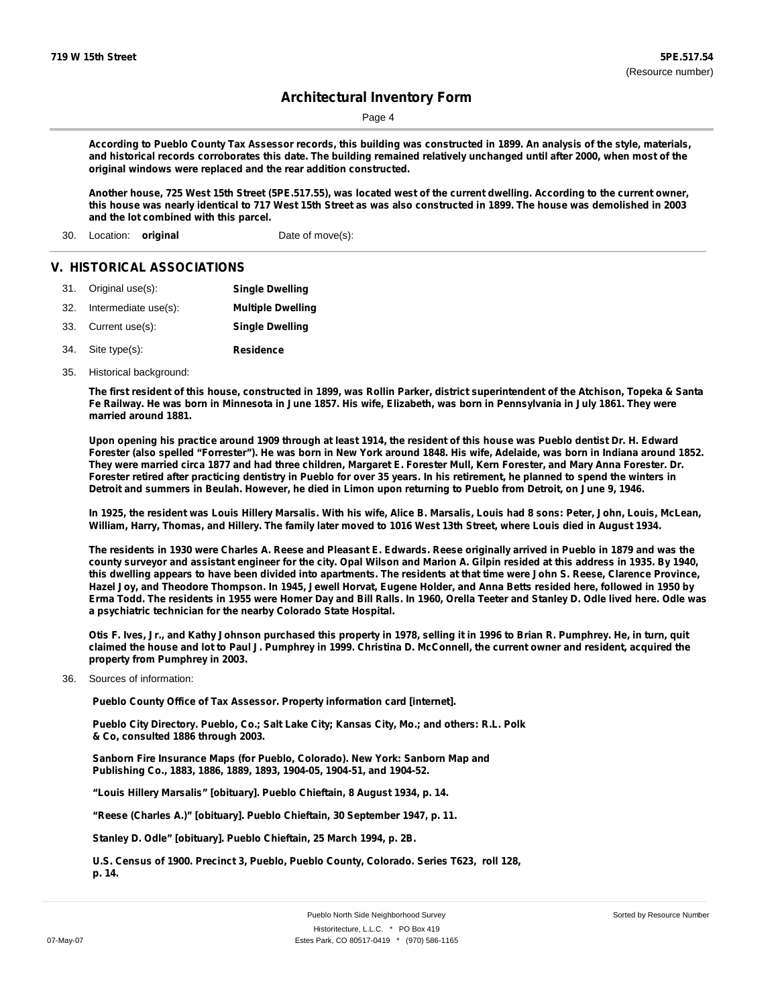Page 4

According to Pueblo County Tax Assessor records, this building was constructed in 1899. An analysis of the style, materials, and historical records corroborates this date. The building remained relatively unchanged until after 2000, when most of the **original windows were replaced and the rear addition constructed.**

Another house, 725 West 15th Street (5PE.517.55), was located west of the current dwelling. According to the current owner, this house was nearly identical to 717 West 15th Street as was also constructed in 1899. The house was demolished in 2003 **and the lot combined with this parcel.**

30. Location: **original** Date of move(s):

#### **V. HISTORICAL ASSOCIATIONS**

| 31. Original use(s):     | <b>Single Dwelling</b>   |
|--------------------------|--------------------------|
| 32. Intermediate use(s): | <b>Multiple Dwelling</b> |
| 33. Current use(s):      | <b>Single Dwelling</b>   |
| 34. Site type(s):        | Residence                |

35. Historical background:

The first resident of this house, constructed in 1899, was Rollin Parker, district superintendent of the Atchison, Topeka & Santa Fe Railway. He was born in Minnesota in June 1857. His wife, Elizabeth, was born in Pennsylvania in July 1861. They were **married around 1881.**

Upon opening his practice around 1909 through at least 1914, the resident of this house was Pueblo dentist Dr. H. Edward Forester (also spelled "Forrester"). He was born in New York around 1848. His wife, Adelaide, was born in Indiana around 1852. They were married circa 1877 and had three children, Margaret E. Forester Mull, Kern Forester, and Mary Anna Forester. Dr. Forester retired after practicing dentistry in Pueblo for over 35 years. In his retirement, he planned to spend the winters in Detroit and summers in Beulah. However, he died in Limon upon returning to Pueblo from Detroit, on June 9, 1946.

In 1925, the resident was Louis Hillery Marsalis. With his wife, Alice B. Marsalis, Louis had 8 sons: Peter, John, Louis, McLean, William, Harry, Thomas, and Hillery. The family later moved to 1016 West 13th Street, where Louis died in August 1934.

The residents in 1930 were Charles A. Reese and Pleasant E. Edwards. Reese originally arrived in Pueblo in 1879 and was the county surveyor and assistant engineer for the city. Opal Wilson and Marion A. Gilpin resided at this address in 1935. By 1940, this dwelling appears to have been divided into apartments. The residents at that time were John S. Reese, Clarence Province, Hazel Joy, and Theodore Thompson. In 1945, Jewell Horvat, Eugene Holder, and Anna Betts resided here, followed in 1950 by Erma Todd. The residents in 1955 were Homer Day and Bill Ralls. In 1960, Orella Teeter and Stanley D. Odle lived here. Odle was **a psychiatric technician for the nearby Colorado State Hospital.**

Otis F. Ives, Jr., and Kathy Johnson purchased this property in 1978, selling it in 1996 to Brian R. Pumphrey. He, in turn, quit claimed the house and lot to Paul J. Pumphrey in 1999. Christina D. McConnell, the current owner and resident, acquired the **property from Pumphrey in 2003.**

36. Sources of information:

**Pueblo County Office of Tax Assessor. Property information card [internet].**

**Pueblo City Directory. Pueblo, Co.; Salt Lake City; Kansas City, Mo.; and others: R.L. Polk & Co, consulted 1886 through 2003.**

**Sanborn Fire Insurance Maps (for Pueblo, Colorado). New York: Sanborn Map and Publishing Co., 1883, 1886, 1889, 1893, 1904-05, 1904-51, and 1904-52.**

**"Louis Hillery Marsalis" [obituary]. Pueblo Chieftain, 8 August 1934, p. 14.**

**"Reese (Charles A.)" [obituary]. Pueblo Chieftain, 30 September 1947, p. 11.**

**Stanley D. Odle" [obituary]. Pueblo Chieftain, 25 March 1994, p. 2B.**

**U.S. Census of 1900. Precinct 3, Pueblo, Pueblo County, Colorado. Series T623, roll 128, p. 14.**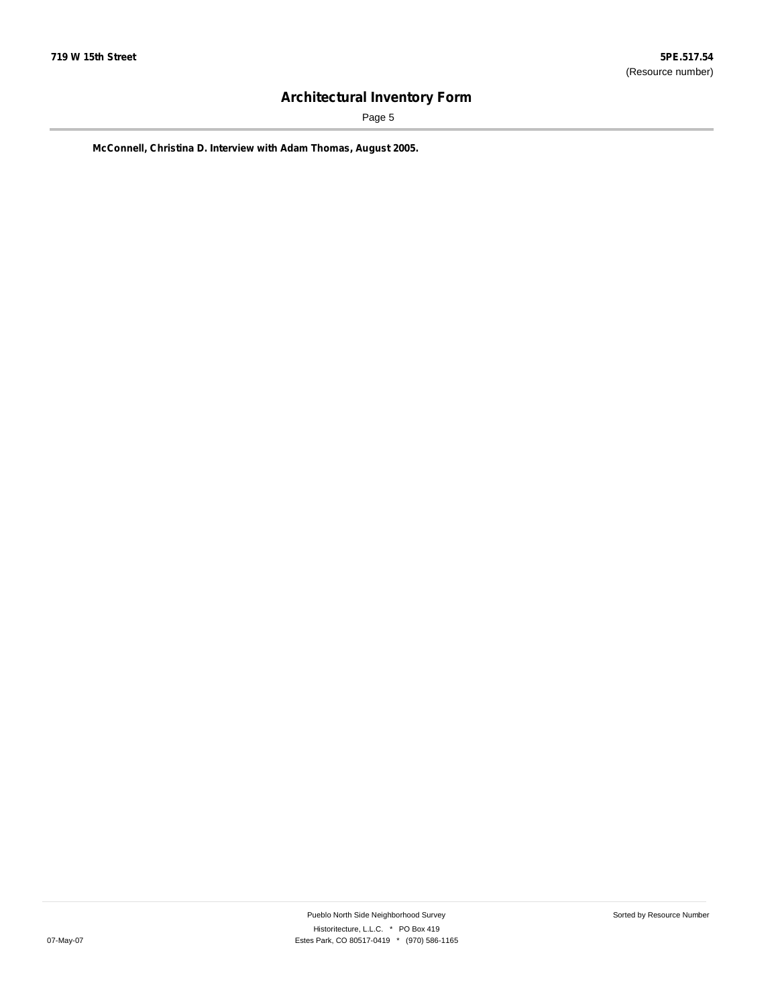Page 5

**McConnell, Christina D. Interview with Adam Thomas, August 2005.**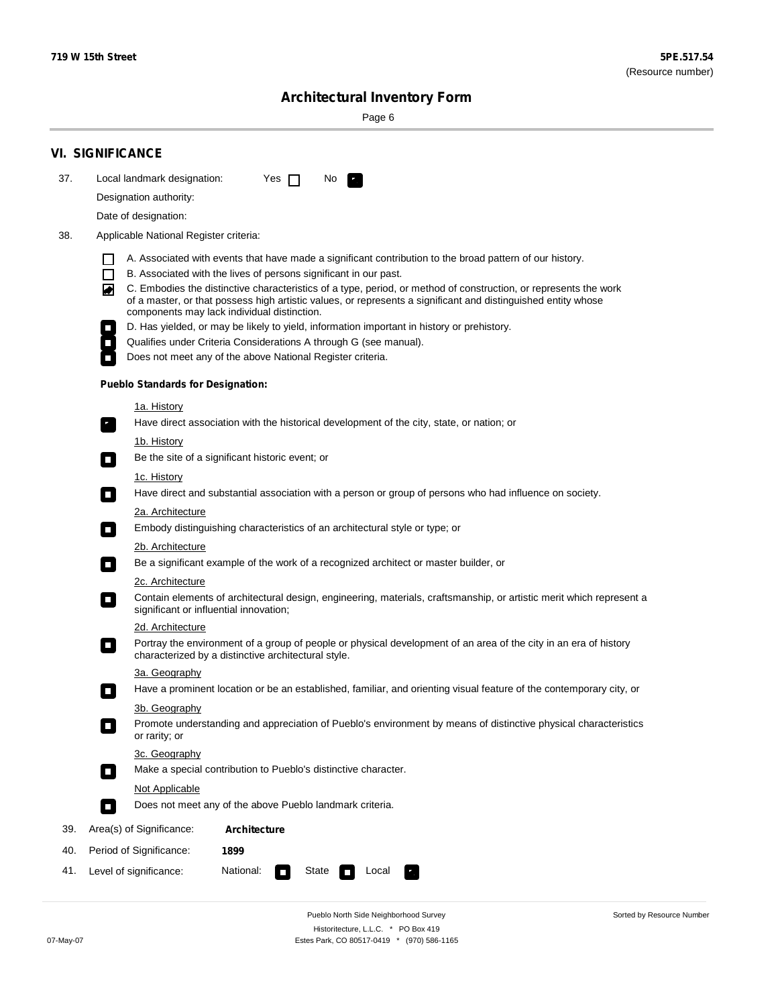۰

Sorted by Resource Number

# **Architectural Inventory Form**

Page 6

|     | <b>VI. SIGNIFICANCE</b>                                                                                                                                                                                                                                                                                                                                                                                                                                                                                                                                                                                                                                                                                                                                                                                                                                                                                                                                                                                                                                                                                                                                                                                                                                                                                                                                                                                                                                                                                                                                                   |  |  |  |  |  |  |  |  |
|-----|---------------------------------------------------------------------------------------------------------------------------------------------------------------------------------------------------------------------------------------------------------------------------------------------------------------------------------------------------------------------------------------------------------------------------------------------------------------------------------------------------------------------------------------------------------------------------------------------------------------------------------------------------------------------------------------------------------------------------------------------------------------------------------------------------------------------------------------------------------------------------------------------------------------------------------------------------------------------------------------------------------------------------------------------------------------------------------------------------------------------------------------------------------------------------------------------------------------------------------------------------------------------------------------------------------------------------------------------------------------------------------------------------------------------------------------------------------------------------------------------------------------------------------------------------------------------------|--|--|--|--|--|--|--|--|
| 37. | Local landmark designation:<br>Yes $\Box$<br>No.<br>$\mathbf{F}_{\mathbf{a}}$                                                                                                                                                                                                                                                                                                                                                                                                                                                                                                                                                                                                                                                                                                                                                                                                                                                                                                                                                                                                                                                                                                                                                                                                                                                                                                                                                                                                                                                                                             |  |  |  |  |  |  |  |  |
|     | Designation authority:                                                                                                                                                                                                                                                                                                                                                                                                                                                                                                                                                                                                                                                                                                                                                                                                                                                                                                                                                                                                                                                                                                                                                                                                                                                                                                                                                                                                                                                                                                                                                    |  |  |  |  |  |  |  |  |
|     | Date of designation:                                                                                                                                                                                                                                                                                                                                                                                                                                                                                                                                                                                                                                                                                                                                                                                                                                                                                                                                                                                                                                                                                                                                                                                                                                                                                                                                                                                                                                                                                                                                                      |  |  |  |  |  |  |  |  |
| 38. | Applicable National Register criteria:                                                                                                                                                                                                                                                                                                                                                                                                                                                                                                                                                                                                                                                                                                                                                                                                                                                                                                                                                                                                                                                                                                                                                                                                                                                                                                                                                                                                                                                                                                                                    |  |  |  |  |  |  |  |  |
|     | A. Associated with events that have made a significant contribution to the broad pattern of our history.<br>H<br>$\Box$<br>B. Associated with the lives of persons significant in our past.<br>C. Embodies the distinctive characteristics of a type, period, or method of construction, or represents the work<br>$\blacktriangleright$<br>of a master, or that possess high artistic values, or represents a significant and distinguished entity whose<br>components may lack individual distinction.<br>D. Has yielded, or may be likely to yield, information important in history or prehistory.<br>Qualifies under Criteria Considerations A through G (see manual).<br>Does not meet any of the above National Register criteria.<br><b>Pueblo Standards for Designation:</b><br><u>1a. History</u><br>Have direct association with the historical development of the city, state, or nation; or<br>$\mathbf{r}_\perp$<br>1b. History<br>Be the site of a significant historic event; or<br>$\mathcal{L}_{\mathcal{A}}$<br>1c. History<br>Have direct and substantial association with a person or group of persons who had influence on society.<br>$\overline{\phantom{a}}$<br>2a. Architecture<br>Embody distinguishing characteristics of an architectural style or type; or<br>$\Box$<br>2b. Architecture<br>Be a significant example of the work of a recognized architect or master builder, or<br>$\sim$<br>2c. Architecture<br>Contain elements of architectural design, engineering, materials, craftsmanship, or artistic merit which represent a<br>О |  |  |  |  |  |  |  |  |
|     | significant or influential innovation;                                                                                                                                                                                                                                                                                                                                                                                                                                                                                                                                                                                                                                                                                                                                                                                                                                                                                                                                                                                                                                                                                                                                                                                                                                                                                                                                                                                                                                                                                                                                    |  |  |  |  |  |  |  |  |
|     | 2d. Architecture<br>Portray the environment of a group of people or physical development of an area of the city in an era of history<br>О<br>characterized by a distinctive architectural style.                                                                                                                                                                                                                                                                                                                                                                                                                                                                                                                                                                                                                                                                                                                                                                                                                                                                                                                                                                                                                                                                                                                                                                                                                                                                                                                                                                          |  |  |  |  |  |  |  |  |
|     | 3a. Geography                                                                                                                                                                                                                                                                                                                                                                                                                                                                                                                                                                                                                                                                                                                                                                                                                                                                                                                                                                                                                                                                                                                                                                                                                                                                                                                                                                                                                                                                                                                                                             |  |  |  |  |  |  |  |  |
|     | Have a prominent location or be an established, familiar, and orienting visual feature of the contemporary city, or                                                                                                                                                                                                                                                                                                                                                                                                                                                                                                                                                                                                                                                                                                                                                                                                                                                                                                                                                                                                                                                                                                                                                                                                                                                                                                                                                                                                                                                       |  |  |  |  |  |  |  |  |
|     | 3b. Geography<br>Promote understanding and appreciation of Pueblo's environment by means of distinctive physical characteristics<br>or rarity; or                                                                                                                                                                                                                                                                                                                                                                                                                                                                                                                                                                                                                                                                                                                                                                                                                                                                                                                                                                                                                                                                                                                                                                                                                                                                                                                                                                                                                         |  |  |  |  |  |  |  |  |
|     | 3c. Geography<br>Make a special contribution to Pueblo's distinctive character.<br>$\Box$                                                                                                                                                                                                                                                                                                                                                                                                                                                                                                                                                                                                                                                                                                                                                                                                                                                                                                                                                                                                                                                                                                                                                                                                                                                                                                                                                                                                                                                                                 |  |  |  |  |  |  |  |  |
|     | Not Applicable                                                                                                                                                                                                                                                                                                                                                                                                                                                                                                                                                                                                                                                                                                                                                                                                                                                                                                                                                                                                                                                                                                                                                                                                                                                                                                                                                                                                                                                                                                                                                            |  |  |  |  |  |  |  |  |
|     | Does not meet any of the above Pueblo landmark criteria.<br>Ō.                                                                                                                                                                                                                                                                                                                                                                                                                                                                                                                                                                                                                                                                                                                                                                                                                                                                                                                                                                                                                                                                                                                                                                                                                                                                                                                                                                                                                                                                                                            |  |  |  |  |  |  |  |  |
| 39. | Area(s) of Significance:<br>Architecture                                                                                                                                                                                                                                                                                                                                                                                                                                                                                                                                                                                                                                                                                                                                                                                                                                                                                                                                                                                                                                                                                                                                                                                                                                                                                                                                                                                                                                                                                                                                  |  |  |  |  |  |  |  |  |
| 40. | Period of Significance:<br>1899                                                                                                                                                                                                                                                                                                                                                                                                                                                                                                                                                                                                                                                                                                                                                                                                                                                                                                                                                                                                                                                                                                                                                                                                                                                                                                                                                                                                                                                                                                                                           |  |  |  |  |  |  |  |  |
| 41. | National:<br>Level of significance:<br>State<br>Local<br>$\Box$                                                                                                                                                                                                                                                                                                                                                                                                                                                                                                                                                                                                                                                                                                                                                                                                                                                                                                                                                                                                                                                                                                                                                                                                                                                                                                                                                                                                                                                                                                           |  |  |  |  |  |  |  |  |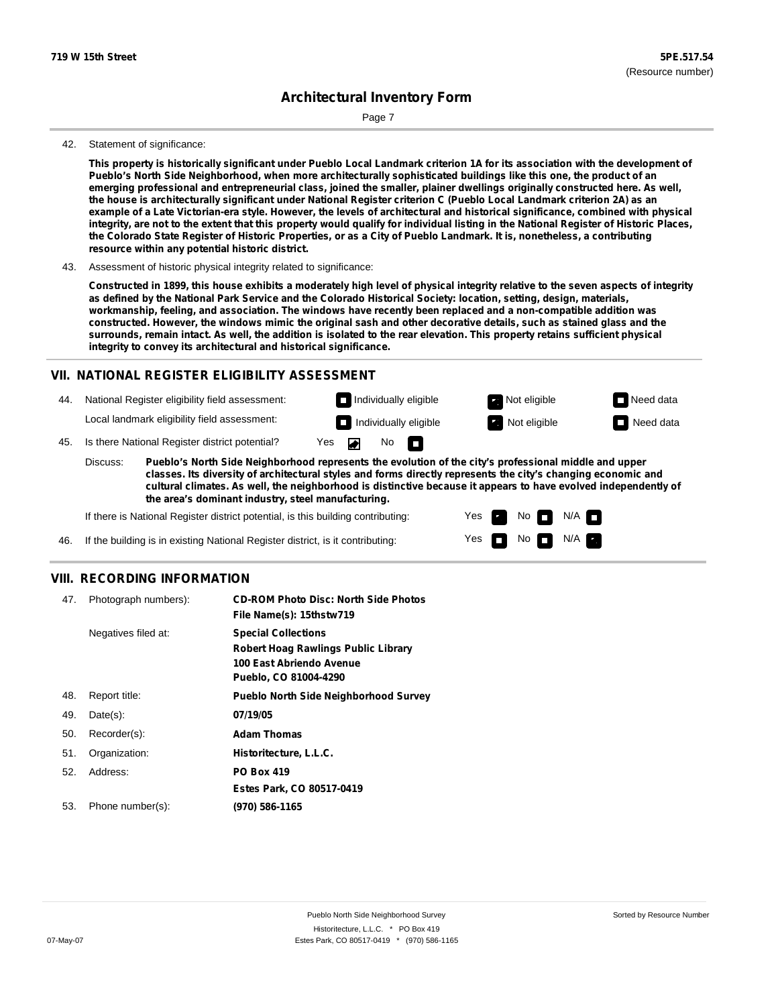Page 7

#### 42. Statement of significance:

This property is historically significant under Pueblo Local Landmark criterion 1A for its association with the development of Pueblo's North Side Neighborhood, when more architecturally sophisticated buildings like this one, the product of an emerging professional and entrepreneurial class, joined the smaller, plainer dwellings originally constructed here. As well, the house is architecturally significant under National Register criterion C (Pueblo Local Landmark criterion 2A) as an example of a Late Victorian-era style. However, the levels of architectural and historical significance, combined with physical integrity, are not to the extent that this property would qualify for individual listing in the National Register of Historic Places, the Colorado State Register of Historic Properties, or as a City of Pueblo Landmark. It is, nonetheless, a contributing **resource within any potential historic district.**

43. Assessment of historic physical integrity related to significance:

Constructed in 1899, this house exhibits a moderately high level of physical integrity relative to the seven aspects of integrity as defined by the National Park Service and the Colorado Historical Society: location, setting, design, materials, **workmanship, feeling, and association. The windows have recently been replaced and a non-compatible addition was** constructed. However, the windows mimic the original sash and other decorative details, such as stained glass and the surrounds, remain intact. As well, the addition is isolated to the rear elevation. This property retains sufficient physical **integrity to convey its architectural and historical significance.**

#### **VII. NATIONAL REGISTER ELIGIBILITY ASSESSMENT**

Individually eligible **Not eligible** Not eligible Need data 44. National Register eligibility field assessment: Local landmark eligibility field assessment: **Individually eligible Not eligible** Not eligible **Need data** No<sub>D</sub> ◚ 45. Is there National Register district potential? Yes

**Pueblo's North Side Neighborhood represents the evolution of the city's professional middle and upper classes. Its diversity of architectural styles and forms directly represents the city's changing economic and cultural climates. As well, the neighborhood is distinctive because it appears to have evolved independently of the area's dominant industry, steel manufacturing.** Discuss:

> Yes Yes

No

 $N/A$ N/A

If there is National Register district potential, is this building contributing:

46. If the building is in existing National Register district, is it contributing:

#### **VIII. RECORDING INFORMATION**

| 47. | Photograph numbers): | <b>CD-ROM Photo Disc: North Side Photos</b><br>File Name(s): 15thstw719                                                       |
|-----|----------------------|-------------------------------------------------------------------------------------------------------------------------------|
|     | Negatives filed at:  | <b>Special Collections</b><br><b>Robert Hoag Rawlings Public Library</b><br>100 East Abriendo Avenue<br>Pueblo, CO 81004-4290 |
| 48. | Report title:        | <b>Pueblo North Side Neighborhood Survey</b>                                                                                  |
| 49. | $Date(s)$ :          | 07/19/05                                                                                                                      |
| 50. | Recorder(s):         | <b>Adam Thomas</b>                                                                                                            |
| 51. | Organization:        | Historitecture, L.L.C.                                                                                                        |
| 52. | Address:             | <b>PO Box 419</b>                                                                                                             |
|     |                      | Estes Park, CO 80517-0419                                                                                                     |
| 53. | Phone number(s):     | (970) 586-1165                                                                                                                |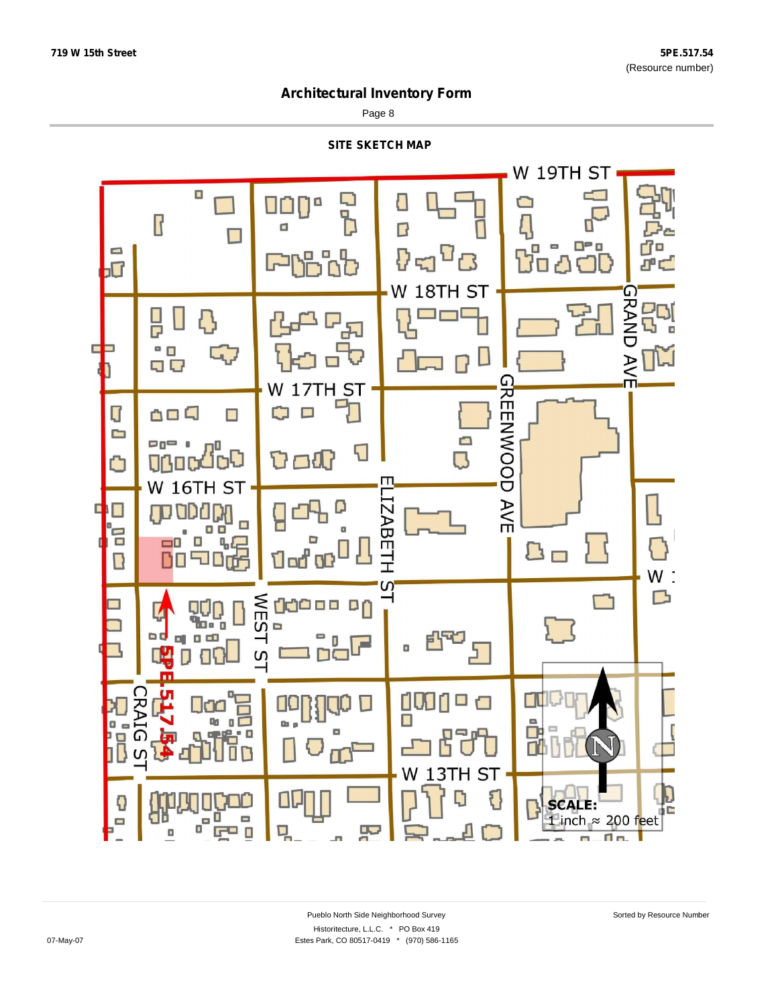Page 8